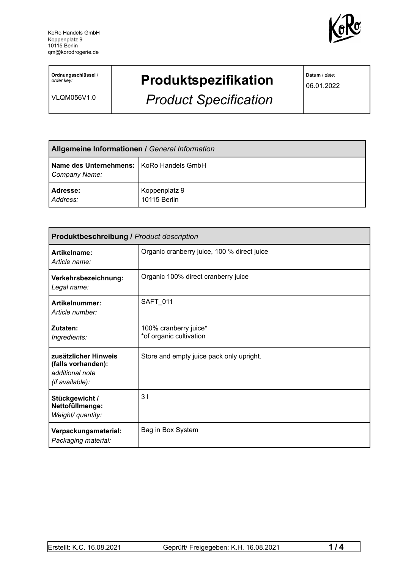

**Ordnungsschlüssel** / *order key:*

VLQM056V1.0

## **Produktspezifikation**

*Product Specification*

**Datum** / *date:*

06.01.2022

| <b>Allgemeine Informationen / General Information</b>       |                               |
|-------------------------------------------------------------|-------------------------------|
| Name des Unternehmens:   KoRo Handels GmbH<br>Company Name: |                               |
| Adresse:<br>Address:                                        | Koppenplatz 9<br>10115 Berlin |

| <b>Produktbeschreibung / Product description</b>                                 |                                                  |  |
|----------------------------------------------------------------------------------|--------------------------------------------------|--|
| Artikelname:<br>Article name:                                                    | Organic cranberry juice, 100 % direct juice      |  |
| Verkehrsbezeichnung:<br>Legal name:                                              | Organic 100% direct cranberry juice              |  |
| Artikelnummer:<br>Article number:                                                | <b>SAFT 011</b>                                  |  |
| Zutaten:<br>Ingredients:                                                         | 100% cranberry juice*<br>*of organic cultivation |  |
| zusätzlicher Hinweis<br>(falls vorhanden):<br>additional note<br>(if available): | Store and empty juice pack only upright.         |  |
| Stückgewicht /<br>Nettofüllmenge:<br>Weight/ quantity:                           | 3 <sub>1</sub>                                   |  |
| Verpackungsmaterial:<br>Packaging material:                                      | Bag in Box System                                |  |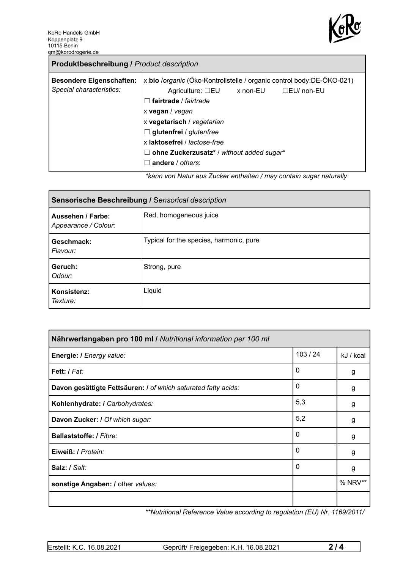

| x bio /organic (Öko-Kontrollstelle / organic control body:DE-ÖKO-021)<br><b>Besondere Eigenschaften:</b><br>Special characteristics:<br>$\Box$ EU/ non-EU<br>Agriculture: $\Box$ EU x non-EU<br>fairtrade / fairtrade<br>$\mathbf{L}$<br>x vegan / vegan<br>x vegetarisch / vegetarian<br>$\Box$ glutenfrei / glutenfree<br>x laktosefrei / lactose-free |
|----------------------------------------------------------------------------------------------------------------------------------------------------------------------------------------------------------------------------------------------------------------------------------------------------------------------------------------------------------|
| ohne Zuckerzusatz* / without added sugar*<br>ш<br>andere / others:<br>ticana yan Natur aya Zuaker anthaltan (may santain ayaar naturally                                                                                                                                                                                                                 |

*\*kann von Natur aus Zucker enthalten / may contain sugar naturally*

| Sensorische Beschreibung / Sensorical description |                                         |  |
|---------------------------------------------------|-----------------------------------------|--|
| Aussehen / Farbe:<br>Appearance / Colour:         | Red, homogeneous juice                  |  |
| Geschmack:<br>Flavour:                            | Typical for the species, harmonic, pure |  |
| Geruch:<br>Odour:                                 | Strong, pure                            |  |
| Konsistenz:<br>Texture:                           | Liquid                                  |  |

| Nährwertangaben pro 100 ml / Nutritional information per 100 ml |        |           |  |
|-----------------------------------------------------------------|--------|-----------|--|
| Energie: I Energy value:                                        | 103/24 | kJ / kcal |  |
| Fett: / Fat:                                                    | 0      | g         |  |
| Davon gesättigte Fettsäuren: I of which saturated fatty acids:  | 0      | g         |  |
| Kohlenhydrate: I Carbohydrates:                                 | 5,3    | g         |  |
| Davon Zucker: I Of which sugar:                                 | 5,2    | g         |  |
| Ballaststoffe: / Fibre:                                         | 0      | g         |  |
| Eiweiß: / Protein:                                              | 0      | g         |  |
| Salz: / Salt:                                                   | 0      | g         |  |
| sonstige Angaben: / other values:                               |        | % NRV**   |  |
|                                                                 |        |           |  |

*\*\*Nutritional Reference Value according to regulation (EU) Nr. 1169/2011/*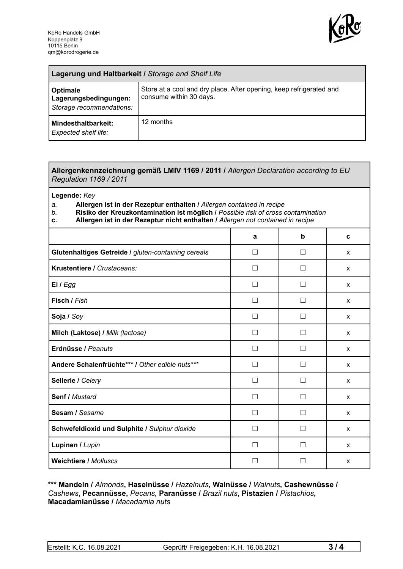

| Lagerung und Haltbarkeit / Storage and Shelf Life             |                                                                                                |  |
|---------------------------------------------------------------|------------------------------------------------------------------------------------------------|--|
| Optimale<br>Lagerungsbedingungen:<br>Storage recommendations: | Store at a cool and dry place. After opening, keep refrigerated and<br>consume within 30 days. |  |
| Mindesthaltbarkeit:<br><b>Expected shelf life:</b>            | 12 months                                                                                      |  |

## **Allergenkennzeichnung gemäß LMIV 1169 / 2011 /** *Allergen Declaration according to EU Regulation 1169 / 2011*

**Legende:** *Key*

*a.* **Allergen ist in der Rezeptur enthalten /** *Allergen contained in recipe*

- *b.* **Risiko der Kreuzkontamination ist möglich /** *Possible risk of cross contamination*
- **c. Allergen ist in der Rezeptur nicht enthalten /** *Allergen not contained in recipe*

|                                                     | a                 | b            | C |
|-----------------------------------------------------|-------------------|--------------|---|
| Glutenhaltiges Getreide / gluten-containing cereals | П                 | $\mathbf{I}$ | X |
| Krustentiere / Crustaceans:                         |                   |              | X |
| Ei / Egg                                            |                   |              | X |
| Fisch / Fish                                        |                   |              | X |
| Soja / Soy                                          |                   |              | X |
| Milch (Laktose) / Milk (lactose)                    | П                 | $\Box$       | X |
| Erdnüsse / Peanuts                                  | $\vert \ \ \vert$ | $\mathbf{I}$ | X |
| Andere Schalenfrüchte*** / Other edible nuts***     | $\vert \ \ \vert$ | $\Box$       | X |
| Sellerie / Celery                                   | Ш                 |              | X |
| Senf / Mustard                                      | П                 |              | X |
| Sesam / Sesame                                      | H                 | H            | X |
| Schwefeldioxid und Sulphite / Sulphur dioxide       | П                 | П            | X |
| Lupinen / Lupin                                     |                   | LΙ           | X |
| <b>Weichtiere / Molluscs</b>                        |                   |              | X |

## **\*\*\* Mandeln /** *Almonds***, Haselnüsse /** *Hazelnuts***, Walnüsse /** *Walnuts***, Cashewnüsse /** *Cashews***, Pecannüsse,** *Pecans,* **Paranüsse /** *Brazil nuts***, Pistazien /** *Pistachios***, Macadamianüsse /** *Macadamia nuts*